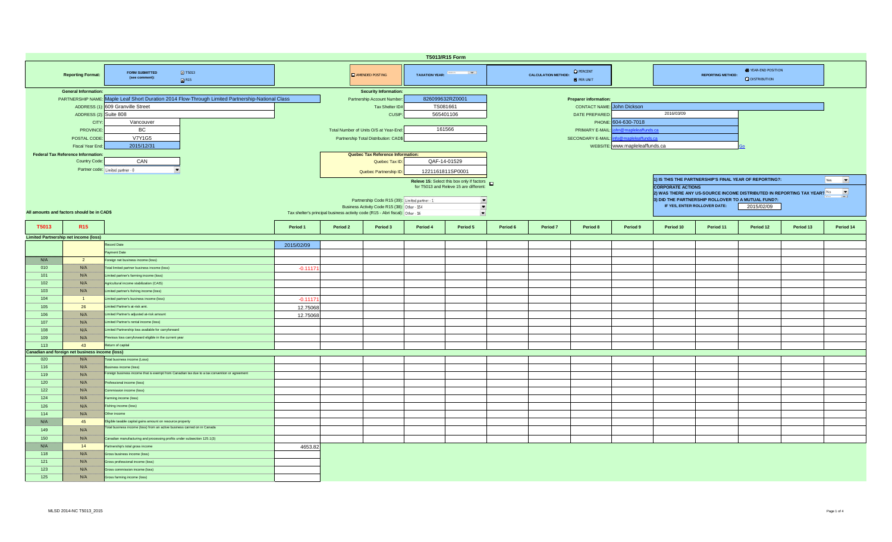| T5013/R15 Form   |                                                            |                                                                                               |            |                 |                                                                                |                       |                                                   |                                |                                       |                                   |                                                                        |                                                                                           |           |                                                                         |           |                          |  |  |  |
|------------------|------------------------------------------------------------|-----------------------------------------------------------------------------------------------|------------|-----------------|--------------------------------------------------------------------------------|-----------------------|---------------------------------------------------|--------------------------------|---------------------------------------|-----------------------------------|------------------------------------------------------------------------|-------------------------------------------------------------------------------------------|-----------|-------------------------------------------------------------------------|-----------|--------------------------|--|--|--|
|                  | <b>Reporting Format:</b>                                   | <b>2</b> T5013<br><b>FORM SUBMITTED</b><br>(see comment):<br>R15                              |            | AMENDED POSTING |                                                                                | TAXATION YEAR: France |                                                   | <b>CALCULATION METHOD:</b>     | <b>O</b> PERCENT<br><b>O</b> PER UNIT |                                   | YEAR-END POSITION<br><b>REPORTING METHOD:</b><br><b>Q</b> DISTRIBUTION |                                                                                           |           |                                                                         |           |                          |  |  |  |
|                  | <b>General Information:</b>                                |                                                                                               |            |                 | <b>Security Information:</b>                                                   |                       |                                                   |                                |                                       |                                   |                                                                        |                                                                                           |           |                                                                         |           |                          |  |  |  |
|                  | <b>PARTNERSHIP NAME:</b>                                   | Maple Leaf Short Duration 2014 Flow-Through Limited Partnership-National Class                |            |                 | Partnership Account Number                                                     | 826099632RZ0001       |                                                   |                                |                                       | <b>Preparer information:</b>      |                                                                        |                                                                                           |           |                                                                         |           |                          |  |  |  |
|                  | ADDRESS (1                                                 | 609 Granville Street                                                                          |            |                 | Tax Shelter ID#                                                                | TS081661              |                                                   |                                |                                       | <b>CONTACT NAME:</b> John Dickson |                                                                        |                                                                                           |           |                                                                         |           |                          |  |  |  |
|                  | ADDRESS (2): Suite 808                                     |                                                                                               |            |                 | CUSIP:                                                                         | 565401106             |                                                   |                                |                                       | DATE PREPARED                     |                                                                        | 2016/03/09                                                                                |           |                                                                         |           |                          |  |  |  |
|                  | <b>CIT</b>                                                 | Vancouver                                                                                     |            |                 |                                                                                |                       |                                                   |                                |                                       |                                   | PHONE: 604-630-7018                                                    |                                                                                           |           |                                                                         |           |                          |  |  |  |
|                  | <b>PROVINCE</b>                                            | <b>BC</b>                                                                                     |            |                 | Total Number of Units O/S at Year-End:                                         | 161566                |                                                   |                                |                                       | PRIMARY E-MAIL:                   | in@mapleleaffunds.ca                                                   |                                                                                           |           |                                                                         |           |                          |  |  |  |
|                  | POSTAL CODE                                                | <b>V7Y1G5</b>                                                                                 |            |                 | Partnership Total Distribution: CAD\$                                          |                       |                                                   |                                |                                       | SECONDARY E-MAIL:                 | fo@mapleleaffunds.ca                                                   |                                                                                           |           |                                                                         |           |                          |  |  |  |
|                  | Fiscal Year End:                                           | 2015/12/31                                                                                    |            |                 |                                                                                |                       |                                                   |                                |                                       |                                   |                                                                        |                                                                                           |           |                                                                         |           |                          |  |  |  |
|                  |                                                            |                                                                                               |            |                 |                                                                                |                       |                                                   | WEBSITE: www.mapleleaffunds.ca |                                       |                                   |                                                                        |                                                                                           |           |                                                                         |           |                          |  |  |  |
|                  | <b>Federal Tax Reference Information:</b><br>Country Code: | CAN                                                                                           |            |                 | Quebec Tax Reference Information:                                              | QAF-14-01529          |                                                   |                                |                                       |                                   |                                                                        |                                                                                           |           |                                                                         |           |                          |  |  |  |
|                  |                                                            |                                                                                               |            |                 | Quebec Tax ID:                                                                 |                       |                                                   |                                |                                       |                                   |                                                                        |                                                                                           |           |                                                                         |           |                          |  |  |  |
|                  |                                                            | Partner code: Limited partner - 0<br>$\cdot$                                                  |            |                 | Quebec Partnership ID:                                                         | 1221161811SP0001      |                                                   |                                |                                       |                                   |                                                                        |                                                                                           |           |                                                                         |           |                          |  |  |  |
|                  |                                                            |                                                                                               |            |                 |                                                                                |                       | Releve 15: Select this box only if factors $\Box$ |                                |                                       |                                   |                                                                        | 1) IS THIS THE PARTNERSHIP'S FINAL YEAR OF REPORTING?:<br>Yes<br>$\overline{\phantom{a}}$ |           |                                                                         |           |                          |  |  |  |
|                  |                                                            |                                                                                               |            |                 |                                                                                |                       | for T5013 and Releve 15 are different:            |                                |                                       |                                   |                                                                        | <b>CORPORATE ACTIONS</b>                                                                  |           |                                                                         |           |                          |  |  |  |
|                  |                                                            |                                                                                               |            |                 |                                                                                |                       |                                                   |                                |                                       |                                   |                                                                        |                                                                                           |           | 2) WAS THERE ANY US-SOURCE INCOME DISTRIBUTED IN REPORTING TAX YEAR? No |           | $\overline{\phantom{a}}$ |  |  |  |
|                  |                                                            |                                                                                               |            |                 | Partnership Code R15 (39): Limited partner - 1                                 |                       | $\frac{1}{\sqrt{2}}$                              |                                |                                       |                                   |                                                                        | 3) DID THE PARTNERSHIP ROLLOVER TO A MUTUAL FUND?:                                        |           |                                                                         |           |                          |  |  |  |
|                  | All amounts and factors should be in CAD\$                 |                                                                                               |            |                 | Business Activity Code R15 (38): Other - 154                                   |                       |                                                   |                                |                                       |                                   |                                                                        | IF YES, ENTER ROLLOVER DATE:<br>2015/02/09                                                |           |                                                                         |           |                          |  |  |  |
|                  |                                                            |                                                                                               |            |                 | Tax shelter's principal business activity code (R15 - Abri fiscal): Other - 16 |                       | $\bullet$                                         |                                |                                       |                                   |                                                                        |                                                                                           |           |                                                                         |           |                          |  |  |  |
| T5013            | <b>R15</b>                                                 |                                                                                               | Period 1   | Period 2        | Period 3                                                                       | Period 4              | Period 5                                          | Period 6                       | Period 7                              | Period 8                          | Period 9                                                               | Period 10                                                                                 | Period 11 | Period 12                                                               | Period 13 | Period 14                |  |  |  |
|                  |                                                            |                                                                                               |            |                 |                                                                                |                       |                                                   |                                |                                       |                                   |                                                                        |                                                                                           |           |                                                                         |           |                          |  |  |  |
|                  | <b>Limited Partnership net income (loss)</b>               |                                                                                               |            |                 |                                                                                |                       |                                                   |                                |                                       |                                   |                                                                        |                                                                                           |           |                                                                         |           |                          |  |  |  |
|                  |                                                            | Record Date                                                                                   | 2015/02/09 |                 |                                                                                |                       |                                                   |                                |                                       |                                   |                                                                        |                                                                                           |           |                                                                         |           |                          |  |  |  |
|                  |                                                            | wment Date                                                                                    |            |                 |                                                                                |                       |                                                   |                                |                                       |                                   |                                                                        |                                                                                           |           |                                                                         |           |                          |  |  |  |
| <u> Kalendar</u> | $\overline{2}$                                             | oreign net business income (loss)                                                             |            |                 |                                                                                |                       |                                                   |                                |                                       |                                   |                                                                        |                                                                                           |           |                                                                         |           |                          |  |  |  |
| 010              | <u> Kirk</u>                                               | Total limited partner business income (loss)                                                  | $-0.1117$  |                 |                                                                                |                       |                                                   |                                |                                       |                                   |                                                                        |                                                                                           |           |                                                                         |           |                          |  |  |  |
| 101              | <u> 1889 (b. 1</u>                                         | Limited partner's farming income (loss)                                                       |            |                 |                                                                                |                       |                                                   |                                |                                       |                                   |                                                                        |                                                                                           |           |                                                                         |           |                          |  |  |  |
| 102              | 1980 OS                                                    | Agricultural income stabilization (CAIS)                                                      |            |                 |                                                                                |                       |                                                   |                                |                                       |                                   |                                                                        |                                                                                           |           |                                                                         |           |                          |  |  |  |
| 103              | 1980 B                                                     | Limited partner's fishing income (loss)                                                       |            |                 |                                                                                |                       |                                                   |                                |                                       |                                   |                                                                        |                                                                                           |           |                                                                         |           |                          |  |  |  |
| 104              | $\blacksquare$                                             | imited partner's business income (loss)                                                       | $-0.1117$  |                 |                                                                                |                       |                                                   |                                |                                       |                                   |                                                                        |                                                                                           |           |                                                                         |           |                          |  |  |  |
| 105              | 26                                                         | nited Partner's at-risk amt.                                                                  | 12.75068   |                 |                                                                                |                       |                                                   |                                |                                       |                                   |                                                                        |                                                                                           |           |                                                                         |           |                          |  |  |  |
| 106              | <u> 1889 (b. 1</u>                                         | imited Partner's adjusted at-risk amount                                                      | 12.75068   |                 |                                                                                |                       |                                                   |                                |                                       |                                   |                                                                        |                                                                                           |           |                                                                         |           |                          |  |  |  |
| 107              | 1980 OS                                                    | Limited Partner's rental income (loss)                                                        |            |                 |                                                                                |                       |                                                   |                                |                                       |                                   |                                                                        |                                                                                           |           |                                                                         |           |                          |  |  |  |
| 108              | <b>BARTA</b>                                               | Limited Partnership loss available for carryforward                                           |            |                 |                                                                                |                       |                                                   |                                |                                       |                                   |                                                                        |                                                                                           |           |                                                                         |           |                          |  |  |  |
|                  | <b>BARTA</b>                                               | Previous loss carryforward eligible in the current year                                       |            |                 |                                                                                |                       |                                                   |                                |                                       |                                   |                                                                        |                                                                                           |           |                                                                         |           |                          |  |  |  |
| 109<br>113       |                                                            |                                                                                               |            |                 |                                                                                |                       |                                                   |                                |                                       |                                   |                                                                        |                                                                                           |           |                                                                         |           |                          |  |  |  |
|                  | 43<br>Canadian and foreign net business income (loss)      | Return of capital                                                                             |            |                 |                                                                                |                       |                                                   |                                |                                       |                                   |                                                                        |                                                                                           |           |                                                                         |           |                          |  |  |  |
| 020              | <u> 1889 (b. 1</u>                                         | Total business income (Loss)                                                                  |            |                 |                                                                                |                       |                                                   |                                |                                       |                                   |                                                                        |                                                                                           |           |                                                                         |           |                          |  |  |  |
| 116              |                                                            | usiness income (loss)                                                                         |            |                 |                                                                                |                       |                                                   |                                |                                       |                                   |                                                                        |                                                                                           |           |                                                                         |           |                          |  |  |  |
|                  | 1980 OS                                                    | Foreign business income that is exempt from Canadian tax due to a tax convention or agreement |            |                 |                                                                                |                       |                                                   |                                |                                       |                                   |                                                                        |                                                                                           |           |                                                                         |           |                          |  |  |  |
| 119              |                                                            |                                                                                               |            |                 |                                                                                |                       |                                                   |                                |                                       |                                   |                                                                        |                                                                                           |           |                                                                         |           |                          |  |  |  |
| 120              | <b>BARTA</b>                                               | Professional income (loss)                                                                    |            |                 |                                                                                |                       |                                                   |                                |                                       |                                   |                                                                        |                                                                                           |           |                                                                         |           |                          |  |  |  |
| 122              | <b>BARTA</b>                                               | Commission income (loss)                                                                      |            |                 |                                                                                |                       |                                                   |                                |                                       |                                   |                                                                        |                                                                                           |           |                                                                         |           |                          |  |  |  |
| 124              | 1889. E                                                    | arming income (loss)                                                                          |            |                 |                                                                                |                       |                                                   |                                |                                       |                                   |                                                                        |                                                                                           |           |                                                                         |           |                          |  |  |  |
| 126              |                                                            | Fishing income (loss)                                                                         |            |                 |                                                                                |                       |                                                   |                                |                                       |                                   |                                                                        |                                                                                           |           |                                                                         |           |                          |  |  |  |
| 114              | 1980 OS                                                    | Other income                                                                                  |            |                 |                                                                                |                       |                                                   |                                |                                       |                                   |                                                                        |                                                                                           |           |                                                                         |           |                          |  |  |  |
| 1990 B           | 45                                                         | Eligible taxable capital gains amount on resource property                                    |            |                 |                                                                                |                       |                                                   |                                |                                       |                                   |                                                                        |                                                                                           |           |                                                                         |           |                          |  |  |  |
| 149              |                                                            | l'otal business income (loss) from an active business carried on in Canada                    |            |                 |                                                                                |                       |                                                   |                                |                                       |                                   |                                                                        |                                                                                           |           |                                                                         |           |                          |  |  |  |
| 150              | 1980 OS                                                    | Canadian manufacturing and processing profits under subsection 125.1(3)                       |            |                 |                                                                                |                       |                                                   |                                |                                       |                                   |                                                                        |                                                                                           |           |                                                                         |           |                          |  |  |  |
| <u> Breakh</u>   | 14                                                         | Partnership's total gross income                                                              | 4653.82    |                 |                                                                                |                       |                                                   |                                |                                       |                                   |                                                                        |                                                                                           |           |                                                                         |           |                          |  |  |  |
| 118              | <u> 1889 (b. 1</u>                                         | Gross business income (loss)                                                                  |            |                 |                                                                                |                       |                                                   |                                |                                       |                                   |                                                                        |                                                                                           |           |                                                                         |           |                          |  |  |  |
| 121              | <u> Isoloofi</u>                                           | <b>Sross professional income (loss)</b>                                                       |            |                 |                                                                                |                       |                                                   |                                |                                       |                                   |                                                                        |                                                                                           |           |                                                                         |           |                          |  |  |  |
| 123              | 1980 OS                                                    |                                                                                               |            |                 |                                                                                |                       |                                                   |                                |                                       |                                   |                                                                        |                                                                                           |           |                                                                         |           |                          |  |  |  |
|                  |                                                            | Gross commission income (loss)                                                                |            |                 |                                                                                |                       |                                                   |                                |                                       |                                   |                                                                        |                                                                                           |           |                                                                         |           |                          |  |  |  |
| 125              | 1980 OS                                                    | Gross farming income (loss)                                                                   |            |                 |                                                                                |                       |                                                   |                                |                                       |                                   |                                                                        |                                                                                           |           |                                                                         |           |                          |  |  |  |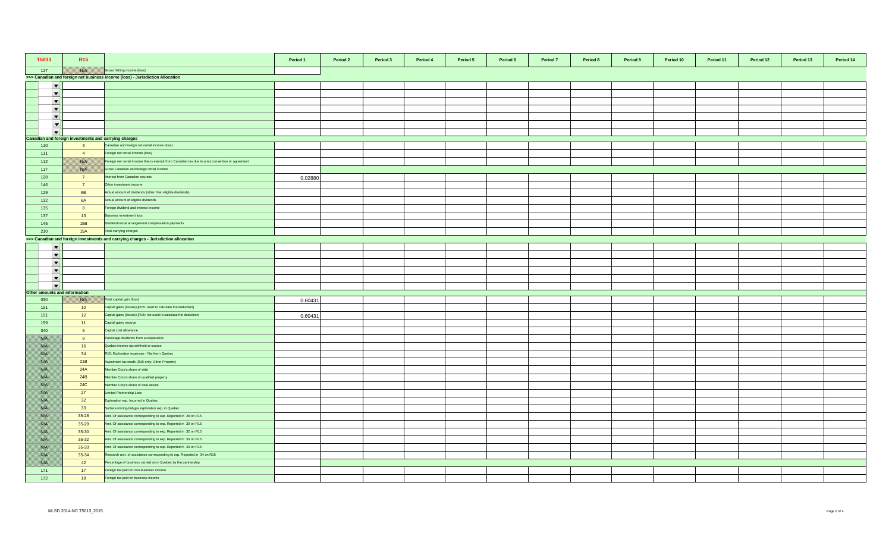| T5013                         | R <sub>15</sub>                                       |                                                                                                 | Period 1 | Period 2 | Period 3 | Period 4 | Period 5 | Period 6 | Period 7 | Period 8 | Period 9 | Period 10 | Period 11 | Period 12 | Period 13 | Period 14 |
|-------------------------------|-------------------------------------------------------|-------------------------------------------------------------------------------------------------|----------|----------|----------|----------|----------|----------|----------|----------|----------|-----------|-----------|-----------|-----------|-----------|
| 127                           |                                                       | Gross fishing income (loss)                                                                     |          |          |          |          |          |          |          |          |          |           |           |           |           |           |
|                               |                                                       | >>> Canadian and foreign net business income (loss) - Jurisdiction Allocation                   |          |          |          |          |          |          |          |          |          |           |           |           |           |           |
| $\overline{\phantom{a}}$      |                                                       |                                                                                                 |          |          |          |          |          |          |          |          |          |           |           |           |           |           |
| $\overline{\phantom{a}}$      |                                                       |                                                                                                 |          |          |          |          |          |          |          |          |          |           |           |           |           |           |
| $\overline{\phantom{a}}$      |                                                       |                                                                                                 |          |          |          |          |          |          |          |          |          |           |           |           |           |           |
| $\blacktriangledown$          |                                                       |                                                                                                 |          |          |          |          |          |          |          |          |          |           |           |           |           |           |
| $\blacktriangledown$          |                                                       |                                                                                                 |          |          |          |          |          |          |          |          |          |           |           |           |           |           |
| $\overline{\phantom{a}}$      |                                                       |                                                                                                 |          |          |          |          |          |          |          |          |          |           |           |           |           |           |
| $\overline{\phantom{a}}$      |                                                       |                                                                                                 |          |          |          |          |          |          |          |          |          |           |           |           |           |           |
|                               | Canadian and foreign investments and carrying charges |                                                                                                 |          |          |          |          |          |          |          |          |          |           |           |           |           |           |
| 110                           | $\overline{\mathbf{3}}$                               | Canadian and foreign net rental income (loss)                                                   |          |          |          |          |          |          |          |          |          |           |           |           |           |           |
| 111                           | $\overline{4}$                                        | Foreign net rental income (loss)                                                                |          |          |          |          |          |          |          |          |          |           |           |           |           |           |
| 112                           | <u> British</u>                                       | Foreign net rental income that is exempt from Canadian tax due to a tax convention or agreement |          |          |          |          |          |          |          |          |          |           |           |           |           |           |
| 117                           | <b>BARTA</b>                                          | Gross Canadian and foreign rental income                                                        |          |          |          |          |          |          |          |          |          |           |           |           |           |           |
| 128                           | $\overline{7}$                                        | terest from Canadian sources                                                                    | 0.02880  |          |          |          |          |          |          |          |          |           |           |           |           |           |
| 146                           | $\overline{7}$                                        | Other investment income                                                                         |          |          |          |          |          |          |          |          |          |           |           |           |           |           |
| 129                           | 6B                                                    | Actual amount of dividends (other than eligible dividends)                                      |          |          |          |          |          |          |          |          |          |           |           |           |           |           |
| 132                           | <b>6A</b>                                             | Actual amount of eligible dividends                                                             |          |          |          |          |          |          |          |          |          |           |           |           |           |           |
| 135                           | 8                                                     | Foreign dividend and interest income                                                            |          |          |          |          |          |          |          |          |          |           |           |           |           |           |
| 137                           | 13                                                    | Business investment loss                                                                        |          |          |          |          |          |          |          |          |          |           |           |           |           |           |
| 145                           | 15B                                                   | Dividend rental arrangement compensation payments                                               |          |          |          |          |          |          |          |          |          |           |           |           |           |           |
| 210                           | <b>15A</b>                                            | Total carrying charges                                                                          |          |          |          |          |          |          |          |          |          |           |           |           |           |           |
|                               |                                                       | >>> Canadian and foreign investments and carrying charges - Jurisdiction allocation             |          |          |          |          |          |          |          |          |          |           |           |           |           |           |
| $\blacktriangledown$          |                                                       |                                                                                                 |          |          |          |          |          |          |          |          |          |           |           |           |           |           |
| $\overline{\phantom{a}}$      |                                                       |                                                                                                 |          |          |          |          |          |          |          |          |          |           |           |           |           |           |
| $\overline{\phantom{a}}$      |                                                       |                                                                                                 |          |          |          |          |          |          |          |          |          |           |           |           |           |           |
| $\overline{\phantom{a}}$      |                                                       |                                                                                                 |          |          |          |          |          |          |          |          |          |           |           |           |           |           |
| $\blacktriangledown$          |                                                       |                                                                                                 |          |          |          |          |          |          |          |          |          |           |           |           |           |           |
| $\overline{\phantom{a}}$      |                                                       |                                                                                                 |          |          |          |          |          |          |          |          |          |           |           |           |           |           |
| Other amounts and information |                                                       |                                                                                                 |          |          |          |          |          |          |          |          |          |           |           |           |           |           |
| 030                           | <b>BATH</b>                                           | Total capital gain (loss)                                                                       | 0.60431  |          |          |          |          |          |          |          |          |           |           |           |           |           |
| 151                           | 10 <sup>°</sup>                                       | Capital gains (losses) [R15: used to calculate the deduction]                                   |          |          |          |          |          |          |          |          |          |           |           |           |           |           |
| 151                           | 12                                                    | Capital gains (losses) [R15: not used to calculate the deduction]                               | 0.60431  |          |          |          |          |          |          |          |          |           |           |           |           |           |
| 159                           | 11                                                    | Capital gains reserve                                                                           |          |          |          |          |          |          |          |          |          |           |           |           |           |           |
| 040                           | 5 <sub>5</sub>                                        | Capital cost allowance                                                                          |          |          |          |          |          |          |          |          |          |           |           |           |           |           |
| <u> Birliy</u>                | 9                                                     | Patronage dividends from a cooperative                                                          |          |          |          |          |          |          |          |          |          |           |           |           |           |           |
| <u> British</u>               | 16                                                    | Quebec income tax withheld at source                                                            |          |          |          |          |          |          |          |          |          |           |           |           |           |           |
| <u> British</u>               | 34                                                    | R15: Exploration expenses - Northern Quebec                                                     |          |          |          |          |          |          |          |          |          |           |           |           |           |           |
| <u> Birth</u>                 | 21B                                                   | vestment tax credit (R15 only: Other Property)                                                  |          |          |          |          |          |          |          |          |          |           |           |           |           |           |
| <u>filman</u>                 | 24A                                                   | Member Corp's share of debt                                                                     |          |          |          |          |          |          |          |          |          |           |           |           |           |           |
| BANG K                        | 24B                                                   | Member Corp's share of qualified property                                                       |          |          |          |          |          |          |          |          |          |           |           |           |           |           |
| //www                         | <b>24C</b>                                            | Member Corp's share of total assets                                                             |          |          |          |          |          |          |          |          |          |           |           |           |           |           |
| film ann a                    | 27                                                    | Limited Partnership Loss                                                                        |          |          |          |          |          |          |          |          |          |           |           |           |           |           |
| Birth M                       | 32                                                    | Exploration exp. Incurred in Quebec                                                             |          |          |          |          |          |          |          |          |          |           |           |           |           |           |
| <u> British</u>               | 33                                                    | Surface mining/oil&gas exploration exp. in Quebec                                               |          |          |          |          |          |          |          |          |          |           |           |           |           |           |
| <u>filman</u>                 | $35 - 28$                                             | Amt. Of assistance corresponding to exp. Reported in 28 on R15                                  |          |          |          |          |          |          |          |          |          |           |           |           |           |           |
| //www                         | $35 - 29$                                             | Amt. Of assistance corresponding to exp. Reported in 30 on R15                                  |          |          |          |          |          |          |          |          |          |           |           |           |           |           |
| <u> British</u>               | $35 - 30$                                             | Amt. Of assistance corresponding to exp. Reported in 32 on R15                                  |          |          |          |          |          |          |          |          |          |           |           |           |           |           |
| <u> Birth</u>                 | $35 - 32$                                             | Amt. Of assistance corresponding to exp. Reported in 33 on R15                                  |          |          |          |          |          |          |          |          |          |           |           |           |           |           |
| BAKT S                        | $35 - 33$                                             | Amt. Of assistance corresponding to exp. Reported in 33 on R15                                  |          |          |          |          |          |          |          |          |          |           |           |           |           |           |
| <u> British</u>               | $35 - 34$                                             | Research amt. of assistance corresponding to exp. Reported in 34 on R15                         |          |          |          |          |          |          |          |          |          |           |           |           |           |           |
| //www                         | 42                                                    | Percentage of business carried on in Quebec by the partnership                                  |          |          |          |          |          |          |          |          |          |           |           |           |           |           |
| 171                           | 17                                                    | Foreign tax paid on non-business income                                                         |          |          |          |          |          |          |          |          |          |           |           |           |           |           |
| 172                           | 18                                                    | Foreign tax paid on business income                                                             |          |          |          |          |          |          |          |          |          |           |           |           |           |           |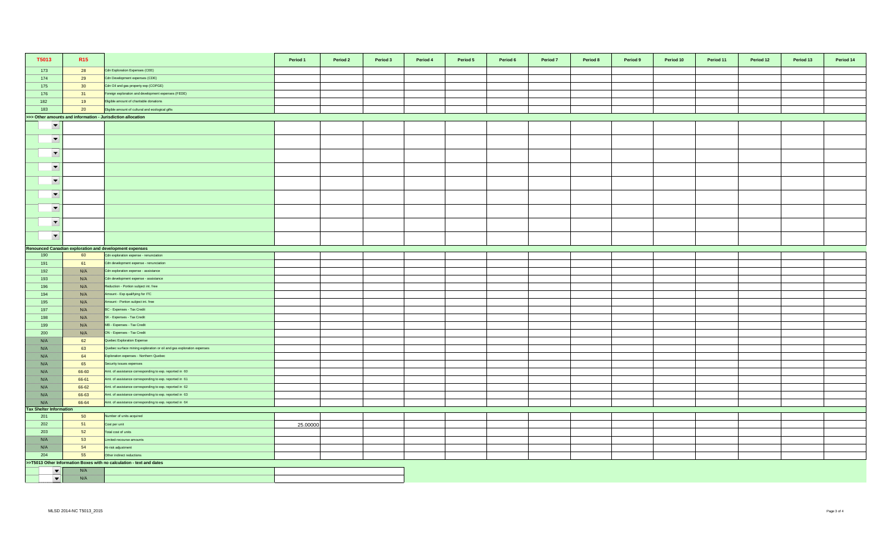| T5013                          | R <sub>15</sub> |                                                                       | Period 1 | Period 2 | Period 3 | Period 4 | Period 5 | Period 6 | Period 7 | Period 8 | Period 9 | Period 10 | Period 11 | Period 12 | Period 13 | Period 14 |
|--------------------------------|-----------------|-----------------------------------------------------------------------|----------|----------|----------|----------|----------|----------|----------|----------|----------|-----------|-----------|-----------|-----------|-----------|
| 173                            | 28              | Cdn Exploration Expenses (CEE)                                        |          |          |          |          |          |          |          |          |          |           |           |           |           |           |
| 174                            | 29              | Cdn Development expenses (CDE)                                        |          |          |          |          |          |          |          |          |          |           |           |           |           |           |
| 175                            | 30              | Cdn Oil and gas property exp (COPGE)                                  |          |          |          |          |          |          |          |          |          |           |           |           |           |           |
| 176                            | 31              | Foreign exploration and development expenses (FEDE)                   |          |          |          |          |          |          |          |          |          |           |           |           |           |           |
| 182                            | 19              | Eligible amount of charitable donations                               |          |          |          |          |          |          |          |          |          |           |           |           |           |           |
| 183                            | 20              | Eligible amount of cultural and ecological gifts                      |          |          |          |          |          |          |          |          |          |           |           |           |           |           |
|                                |                 | >>> Other amounts and information - Jurisdiction allocation           |          |          |          |          |          |          |          |          |          |           |           |           |           |           |
| $\overline{\phantom{a}}$       |                 |                                                                       |          |          |          |          |          |          |          |          |          |           |           |           |           |           |
| $\overline{\phantom{a}}$       |                 |                                                                       |          |          |          |          |          |          |          |          |          |           |           |           |           |           |
| $\overline{\phantom{a}}$       |                 |                                                                       |          |          |          |          |          |          |          |          |          |           |           |           |           |           |
| $\overline{\phantom{a}}$       |                 |                                                                       |          |          |          |          |          |          |          |          |          |           |           |           |           |           |
| $\overline{\phantom{a}}$       |                 |                                                                       |          |          |          |          |          |          |          |          |          |           |           |           |           |           |
| $\overline{\phantom{a}}$       |                 |                                                                       |          |          |          |          |          |          |          |          |          |           |           |           |           |           |
| $\overline{\phantom{a}}$       |                 |                                                                       |          |          |          |          |          |          |          |          |          |           |           |           |           |           |
| $\overline{\phantom{a}}$       |                 |                                                                       |          |          |          |          |          |          |          |          |          |           |           |           |           |           |
| $\blacktriangledown$           |                 |                                                                       |          |          |          |          |          |          |          |          |          |           |           |           |           |           |
|                                |                 | Renounced Canadian exploration and development expenses               |          |          |          |          |          |          |          |          |          |           |           |           |           |           |
| 190                            | 60              | Cdn exploration expense - renunciation                                |          |          |          |          |          |          |          |          |          |           |           |           |           |           |
| 191                            | 61              | Cdn development expense - renunciation                                |          |          |          |          |          |          |          |          |          |           |           |           |           |           |
| 192                            | <u> Karlin</u>  | Cdn exploration expense - assistance                                  |          |          |          |          |          |          |          |          |          |           |           |           |           |           |
| 193                            |                 | Cdn development expense - assistance                                  |          |          |          |          |          |          |          |          |          |           |           |           |           |           |
| 196                            |                 | Reduction - Portion subject int. free                                 |          |          |          |          |          |          |          |          |          |           |           |           |           |           |
| 194                            |                 | Amount - Exp qualifying for ITC                                       |          |          |          |          |          |          |          |          |          |           |           |           |           |           |
| 195                            | <u> ISSUS I</u> | mount - Portion subject int. free                                     |          |          |          |          |          |          |          |          |          |           |           |           |           |           |
| 197                            | <u> Karlin</u>  | BC - Expenses - Tax Credit                                            |          |          |          |          |          |          |          |          |          |           |           |           |           |           |
| 198                            |                 | SK - Expenses - Tax Credit                                            |          |          |          |          |          |          |          |          |          |           |           |           |           |           |
| 199                            |                 | MB - Expenses - Tax Credit                                            |          |          |          |          |          |          |          |          |          |           |           |           |           |           |
| 200                            | USSA S          | ON - Expenses - Tax Credit                                            |          |          |          |          |          |          |          |          |          |           |           |           |           |           |
| film an                        | 62              | Quebec Exploration Expense                                            |          |          |          |          |          |          |          |          |          |           |           |           |           |           |
| <u> Birth I</u>                | 63              | Quebec surface mining exploration or oil and gas exploration expenses |          |          |          |          |          |          |          |          |          |           |           |           |           |           |
| <u> British</u>                | 64              | Exploration expenses - Northern Quebec                                |          |          |          |          |          |          |          |          |          |           |           |           |           |           |
| <u> Wisselri</u>               | 65              | Security issues expenses                                              |          |          |          |          |          |          |          |          |          |           |           |           |           |           |
| 78. S                          | 66-60           | Amt. of assistance corresponding to exp. reported in 60               |          |          |          |          |          |          |          |          |          |           |           |           |           |           |
| film an                        | 66-61           | Amt. of assistance corresponding to exp. reported in 61               |          |          |          |          |          |          |          |          |          |           |           |           |           |           |
| <u>filman</u>                  | 66-62           | Amt. of assistance corresponding to exp. reported in 62               |          |          |          |          |          |          |          |          |          |           |           |           |           |           |
| <u> Biblioth</u>               | 66-63           | Amt. of assistance corresponding to exp. reported in 63               |          |          |          |          |          |          |          |          |          |           |           |           |           |           |
|                                | 66-64           | Amt. of assistance corresponding to exp. reported in 64               |          |          |          |          |          |          |          |          |          |           |           |           |           |           |
| <b>Tax Shelter Information</b> |                 |                                                                       |          |          |          |          |          |          |          |          |          |           |           |           |           |           |
| 201                            | 50              | lumber of units acquired                                              |          |          |          |          |          |          |          |          |          |           |           |           |           |           |
| 202                            | 51              | Cost per unit                                                         | 25.00000 |          |          |          |          |          |          |          |          |           |           |           |           |           |
| 203                            | 52              | Total cost of units                                                   |          |          |          |          |          |          |          |          |          |           |           |           |           |           |
|                                | 53              | imited-recourse amounts                                               |          |          |          |          |          |          |          |          |          |           |           |           |           |           |
|                                | 54              | At-risk adjustment                                                    |          |          |          |          |          |          |          |          |          |           |           |           |           |           |
| 204                            | 55              | Other indirect reductions                                             |          |          |          |          |          |          |          |          |          |           |           |           |           |           |
|                                |                 | >>T5013 Other Information Boxes with no calculation - text and dates  |          |          |          |          |          |          |          |          |          |           |           |           |           |           |
| $\blacktriangledown$           |                 |                                                                       |          |          |          |          |          |          |          |          |          |           |           |           |           |           |
| $\blacktriangledown$           | film an         |                                                                       |          |          |          |          |          |          |          |          |          |           |           |           |           |           |